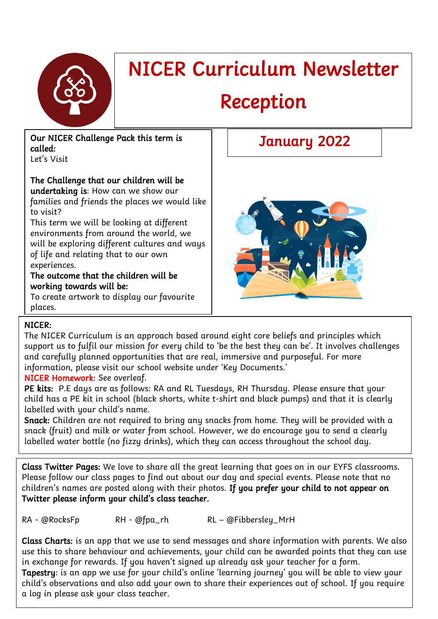

# NICER Curriculum Newsletter

# Reception

#### Our NICER Challenge Pack this term is called:

Let's Visit

## The Challenge that our children will be

undertaking is: How can we show our families and friends the places we would like to visit?

This term we will be looking at different environments from around the world, we will be exploring different cultures and ways of life and relating that to our own experiences.

#### The outcome that the children will be working towards will be:

To create artwork to display our favourite places.

# January 2022



### NICER:

The NICER Curriculum is an approach based around eight core beliefs and principles which support us to fulfil our mission for every child to 'be the best they can be'. It involves challenges and carefully planned opportunities that are real, immersive and purposeful. For more information, please visit our school website under 'Key Documents.'

### NICER Homework: See overleaf.

PE kits: P.E days are as follows: RA and RL Tuesdays, RH Thursday. Please ensure that your child has a PE kit in school (black shorts, white t-shirt and black pumps) and that it is clearly labelled with your child's name.

Snack: Children are not required to bring any snacks from home. They will be provided with a snack (fruit) and milk or water from school. However, we do encourage you to send a clearly labelled water bottle (no fizzy drinks), which they can access throughout the school day.

Class Twitter Pages: We love to share all the great learning that goes on in our EYFS classrooms. Please follow our class pages to find out about our day and special events. Please note that no children's names are posted along with their photos. If you prefer your child to not appear on Twitter please inform your child's class teacher.

RA - @RocksFp RH - @fpa\_rh RL – @Fibbersley\_MrH

Class Charts: is an app that we use to send messages and share information with parents. We also use this to share behaviour and achievements, your child can be awarded points that they can use in exchange for rewards. If you haven't signed up already ask your teacher for a form.

Tapestry: is an app we use for your child's online 'learning journey' you will be able to view your child's observations and also add your own to share their experiences out of school. If you require a log in please ask your class teacher.